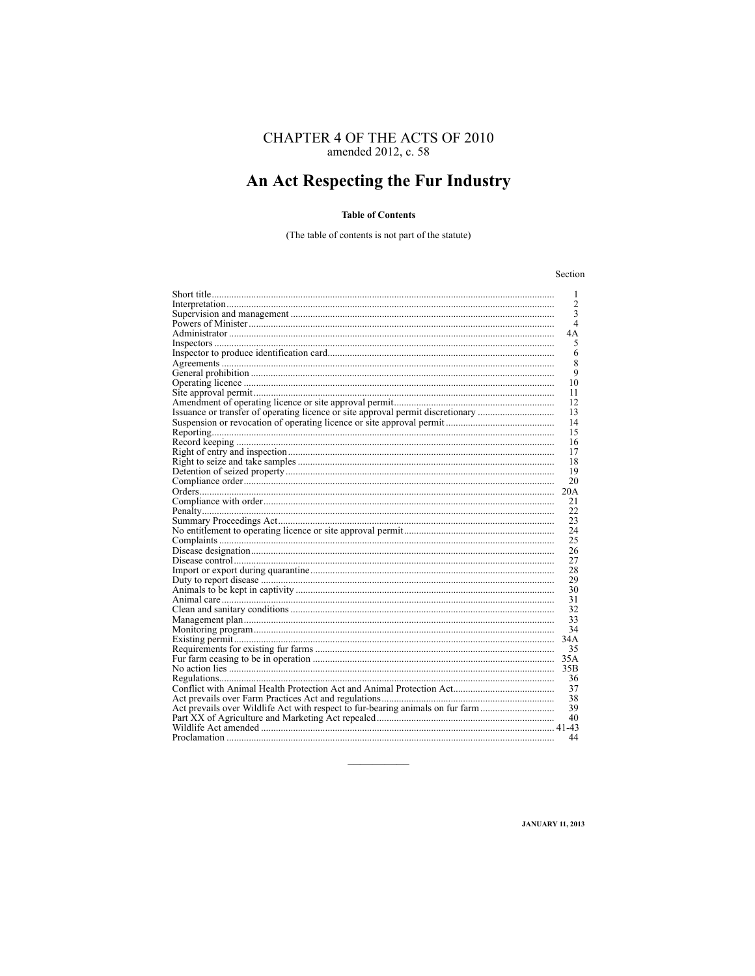# CHAPTER 4 OF THE ACTS OF 2010<br>amended 2012, c. 58

## An Act Respecting the Fur Industry

#### **Table of Contents**

(The table of contents is not part of the statute)

#### Section

|                                                                                 | 1              |
|---------------------------------------------------------------------------------|----------------|
|                                                                                 | $\mathfrak{2}$ |
|                                                                                 | 3              |
|                                                                                 | $\overline{4}$ |
|                                                                                 | 4Α             |
|                                                                                 | 5              |
|                                                                                 | 6              |
|                                                                                 | 8              |
|                                                                                 | 9              |
|                                                                                 | 10             |
|                                                                                 | 11             |
|                                                                                 | 12             |
| Issuance or transfer of operating licence or site approval permit discretionary | 13             |
|                                                                                 | 14             |
|                                                                                 | 15             |
|                                                                                 | 16             |
|                                                                                 | 17             |
|                                                                                 | 18             |
|                                                                                 | 19             |
|                                                                                 | 20             |
|                                                                                 | 20A            |
|                                                                                 | 21             |
|                                                                                 | 22             |
|                                                                                 | 23             |
|                                                                                 | 24             |
|                                                                                 | 25             |
|                                                                                 | 26             |
|                                                                                 | 27             |
|                                                                                 | 28             |
|                                                                                 | 29             |
|                                                                                 | 30             |
|                                                                                 | 31             |
|                                                                                 | 32             |
|                                                                                 | 33             |
|                                                                                 | 34             |
|                                                                                 | 34A            |
|                                                                                 | 35             |
|                                                                                 | 35A            |
|                                                                                 | 35B            |
|                                                                                 | 36             |
|                                                                                 | 37             |
|                                                                                 | 38             |
| Act prevails over Wildlife Act with respect to fur-bearing animals on fur farm  | 39             |
|                                                                                 | 40             |
|                                                                                 |                |
| Proclamation                                                                    | 44             |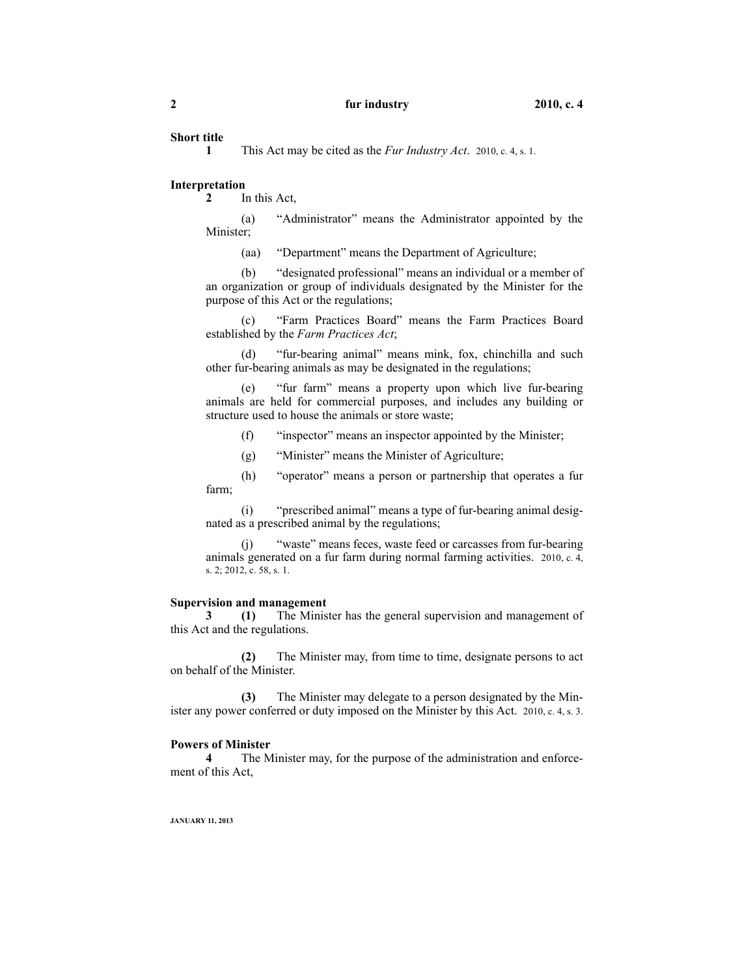#### **Short title**

**1** This Act may be cited as the *Fur Industry Act*. 2010, c. 4, s. 1.

#### **Interpretation**

**2** In this Act,

(a) "Administrator" means the Administrator appointed by the Minister;

(aa) "Department" means the Department of Agriculture;

(b) "designated professional" means an individual or a member of an organization or group of individuals designated by the Minister for the purpose of this Act or the regulations;

(c) "Farm Practices Board" means the Farm Practices Board established by the *Farm Practices Act*;

(d) "fur-bearing animal" means mink, fox, chinchilla and such other fur-bearing animals as may be designated in the regulations;

(e) "fur farm" means a property upon which live fur-bearing animals are held for commercial purposes, and includes any building or structure used to house the animals or store waste;

(f) "inspector" means an inspector appointed by the Minister;

(g) "Minister" means the Minister of Agriculture;

(h) "operator" means a person or partnership that operates a fur farm;

(i) "prescribed animal" means a type of fur-bearing animal designated as a prescribed animal by the regulations;

(j) "waste" means feces, waste feed or carcasses from fur-bearing animals generated on a fur farm during normal farming activities. 2010, c. 4, s. 2; 2012, c. 58, s. 1.

#### **Supervision and management**

**3 (1)** The Minister has the general supervision and management of this Act and the regulations.

**(2)** The Minister may, from time to time, designate persons to act on behalf of the Minister.

**(3)** The Minister may delegate to a person designated by the Minister any power conferred or duty imposed on the Minister by this Act. 2010, c. 4, s. 3.

#### **Powers of Minister**

**4** The Minister may, for the purpose of the administration and enforcement of this Act,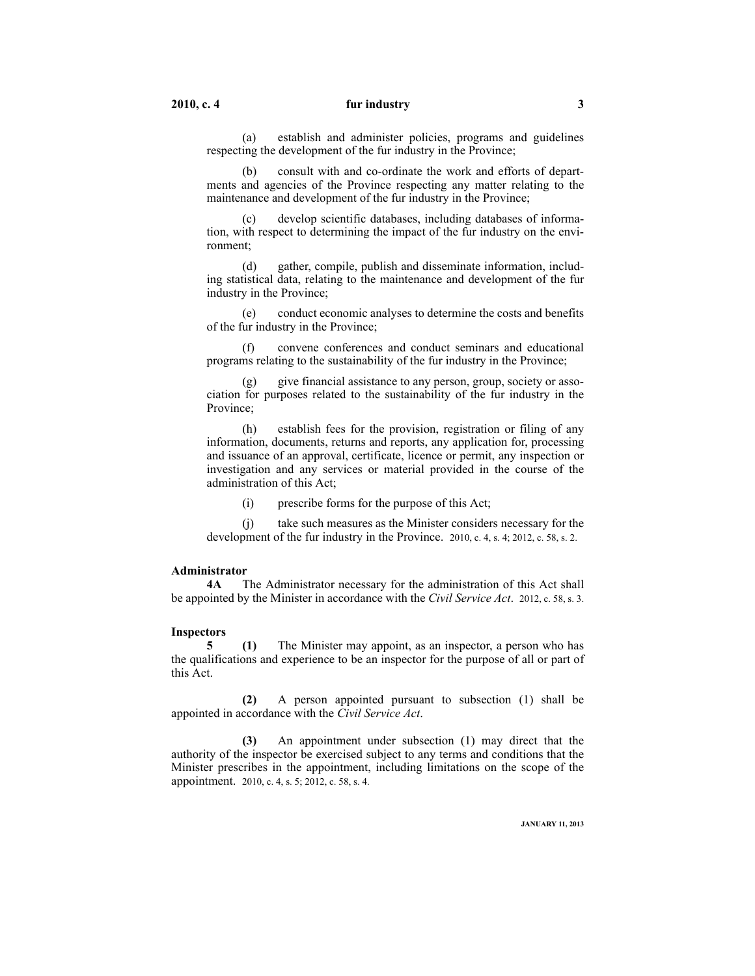(a) establish and administer policies, programs and guidelines respecting the development of the fur industry in the Province;

consult with and co-ordinate the work and efforts of departments and agencies of the Province respecting any matter relating to the maintenance and development of the fur industry in the Province;

(c) develop scientific databases, including databases of information, with respect to determining the impact of the fur industry on the environment;

(d) gather, compile, publish and disseminate information, including statistical data, relating to the maintenance and development of the fur industry in the Province;

(e) conduct economic analyses to determine the costs and benefits of the fur industry in the Province;

(f) convene conferences and conduct seminars and educational programs relating to the sustainability of the fur industry in the Province;

(g) give financial assistance to any person, group, society or association for purposes related to the sustainability of the fur industry in the Province;

(h) establish fees for the provision, registration or filing of any information, documents, returns and reports, any application for, processing and issuance of an approval, certificate, licence or permit, any inspection or investigation and any services or material provided in the course of the administration of this Act;

(i) prescribe forms for the purpose of this Act;

(j) take such measures as the Minister considers necessary for the development of the fur industry in the Province. 2010, c. 4, s. 4; 2012, c. 58, s. 2.

#### **Administrator**

**4A** The Administrator necessary for the administration of this Act shall be appointed by the Minister in accordance with the *Civil Service Act*. 2012, c. 58, s. 3.

#### **Inspectors**

**5 (1)** The Minister may appoint, as an inspector, a person who has the qualifications and experience to be an inspector for the purpose of all or part of this Act.

**(2)** A person appointed pursuant to subsection (1) shall be appointed in accordance with the *Civil Service Act*.

**(3)** An appointment under subsection (1) may direct that the authority of the inspector be exercised subject to any terms and conditions that the Minister prescribes in the appointment, including limitations on the scope of the appointment. 2010, c. 4, s. 5; 2012, c. 58, s. 4.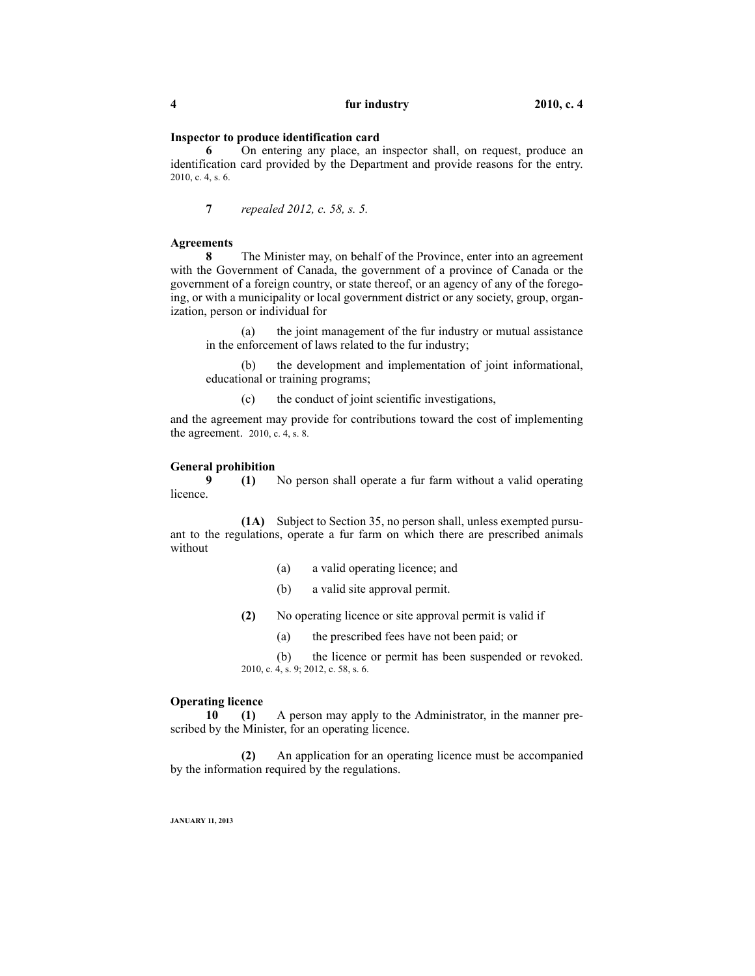#### **Inspector to produce identification card**

**6** On entering any place, an inspector shall, on request, produce an identification card provided by the Department and provide reasons for the entry. 2010, c. 4, s. 6.

**7** *repealed 2012, c. 58, s. 5.*

#### **Agreements**

**8** The Minister may, on behalf of the Province, enter into an agreement with the Government of Canada, the government of a province of Canada or the government of a foreign country, or state thereof, or an agency of any of the foregoing, or with a municipality or local government district or any society, group, organization, person or individual for

(a) the joint management of the fur industry or mutual assistance in the enforcement of laws related to the fur industry;

(b) the development and implementation of joint informational, educational or training programs;

(c) the conduct of joint scientific investigations,

and the agreement may provide for contributions toward the cost of implementing the agreement. 2010, c. 4, s. 8.

#### **General prohibition**

**9 (1)** No person shall operate a fur farm without a valid operating licence.

**(1A)** Subject to Section 35, no person shall, unless exempted pursuant to the regulations, operate a fur farm on which there are prescribed animals without

- (a) a valid operating licence; and
- (b) a valid site approval permit.

**(2)** No operating licence or site approval permit is valid if

(a) the prescribed fees have not been paid; or

(b) the licence or permit has been suspended or revoked. 2010, c. 4, s. 9; 2012, c. 58, s. 6.

#### **Operating licence**

**10 (1)** A person may apply to the Administrator, in the manner prescribed by the Minister, for an operating licence.

**(2)** An application for an operating licence must be accompanied by the information required by the regulations.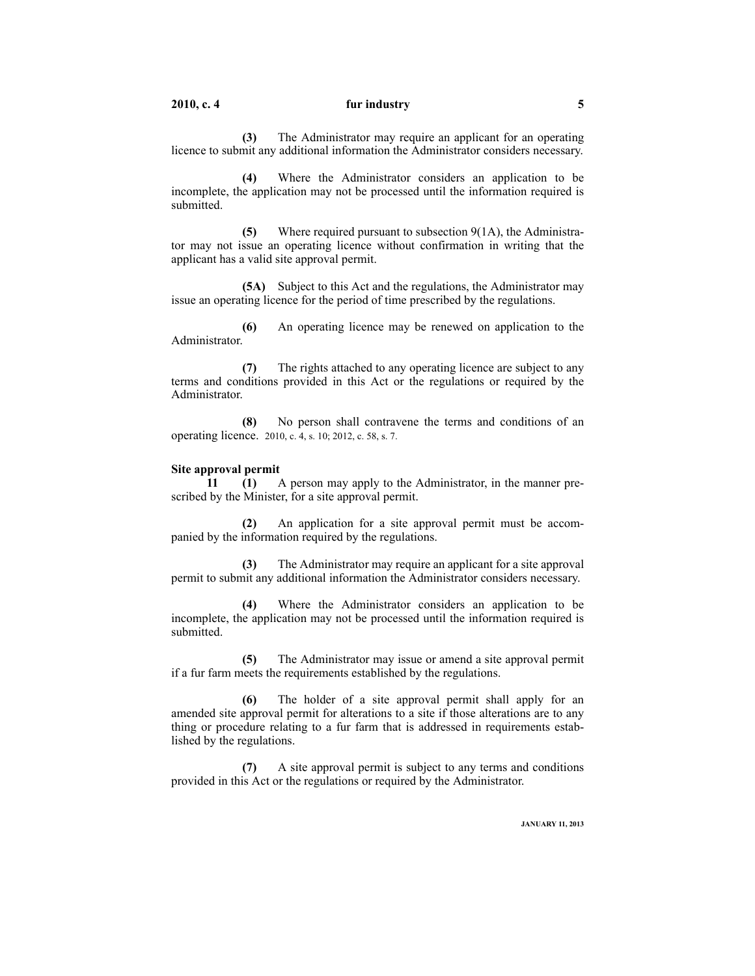**(3)** The Administrator may require an applicant for an operating licence to submit any additional information the Administrator considers necessary.

**(4)** Where the Administrator considers an application to be incomplete, the application may not be processed until the information required is submitted.

**(5)** Where required pursuant to subsection 9(1A), the Administrator may not issue an operating licence without confirmation in writing that the applicant has a valid site approval permit.

**(5A)** Subject to this Act and the regulations, the Administrator may issue an operating licence for the period of time prescribed by the regulations.

**(6)** An operating licence may be renewed on application to the Administrator.

**(7)** The rights attached to any operating licence are subject to any terms and conditions provided in this Act or the regulations or required by the Administrator.

**(8)** No person shall contravene the terms and conditions of an operating licence. 2010, c. 4, s. 10; 2012, c. 58, s. 7.

#### **Site approval permit**

**11 (1)** A person may apply to the Administrator, in the manner prescribed by the Minister, for a site approval permit.

**(2)** An application for a site approval permit must be accompanied by the information required by the regulations.

**(3)** The Administrator may require an applicant for a site approval permit to submit any additional information the Administrator considers necessary.

**(4)** Where the Administrator considers an application to be incomplete, the application may not be processed until the information required is submitted.

**(5)** The Administrator may issue or amend a site approval permit if a fur farm meets the requirements established by the regulations.

**(6)** The holder of a site approval permit shall apply for an amended site approval permit for alterations to a site if those alterations are to any thing or procedure relating to a fur farm that is addressed in requirements established by the regulations.

**(7)** A site approval permit is subject to any terms and conditions provided in this Act or the regulations or required by the Administrator.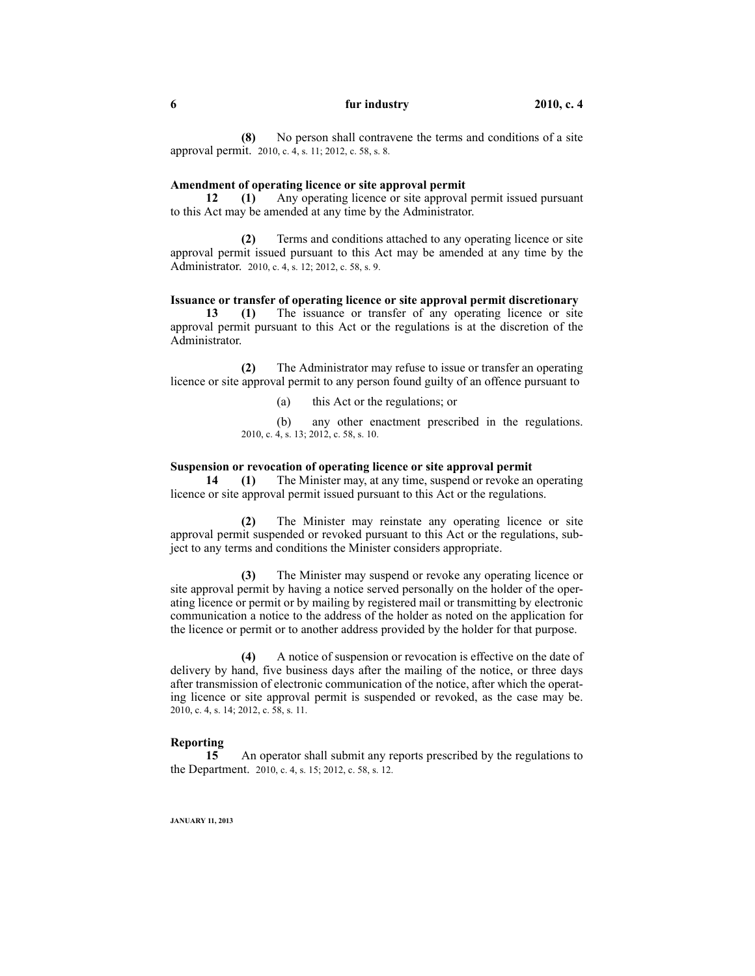**(8)** No person shall contravene the terms and conditions of a site approval permit. 2010, c. 4, s. 11; 2012, c. 58, s. 8.

#### **Amendment of operating licence or site approval permit**

**12 (1)** Any operating licence or site approval permit issued pursuant to this Act may be amended at any time by the Administrator.

**(2)** Terms and conditions attached to any operating licence or site approval permit issued pursuant to this Act may be amended at any time by the Administrator. 2010, c. 4, s. 12; 2012, c. 58, s. 9.

#### **Issuance or transfer of operating licence or site approval permit discretionary**

**13 (1)** The issuance or transfer of any operating licence or site approval permit pursuant to this Act or the regulations is at the discretion of the Administrator.

**(2)** The Administrator may refuse to issue or transfer an operating licence or site approval permit to any person found guilty of an offence pursuant to

(a) this Act or the regulations; or

(b) any other enactment prescribed in the regulations. 2010, c. 4, s. 13; 2012, c. 58, s. 10.

#### **Suspension or revocation of operating licence or site approval permit**

**14 (1)** The Minister may, at any time, suspend or revoke an operating licence or site approval permit issued pursuant to this Act or the regulations.

**(2)** The Minister may reinstate any operating licence or site approval permit suspended or revoked pursuant to this Act or the regulations, subject to any terms and conditions the Minister considers appropriate.

**(3)** The Minister may suspend or revoke any operating licence or site approval permit by having a notice served personally on the holder of the operating licence or permit or by mailing by registered mail or transmitting by electronic communication a notice to the address of the holder as noted on the application for the licence or permit or to another address provided by the holder for that purpose.

**(4)** A notice of suspension or revocation is effective on the date of delivery by hand, five business days after the mailing of the notice, or three days after transmission of electronic communication of the notice, after which the operating licence or site approval permit is suspended or revoked, as the case may be. 2010, c. 4, s. 14; 2012, c. 58, s. 11.

#### **Reporting**

**15** An operator shall submit any reports prescribed by the regulations to the Department. 2010, c. 4, s. 15; 2012, c. 58, s. 12.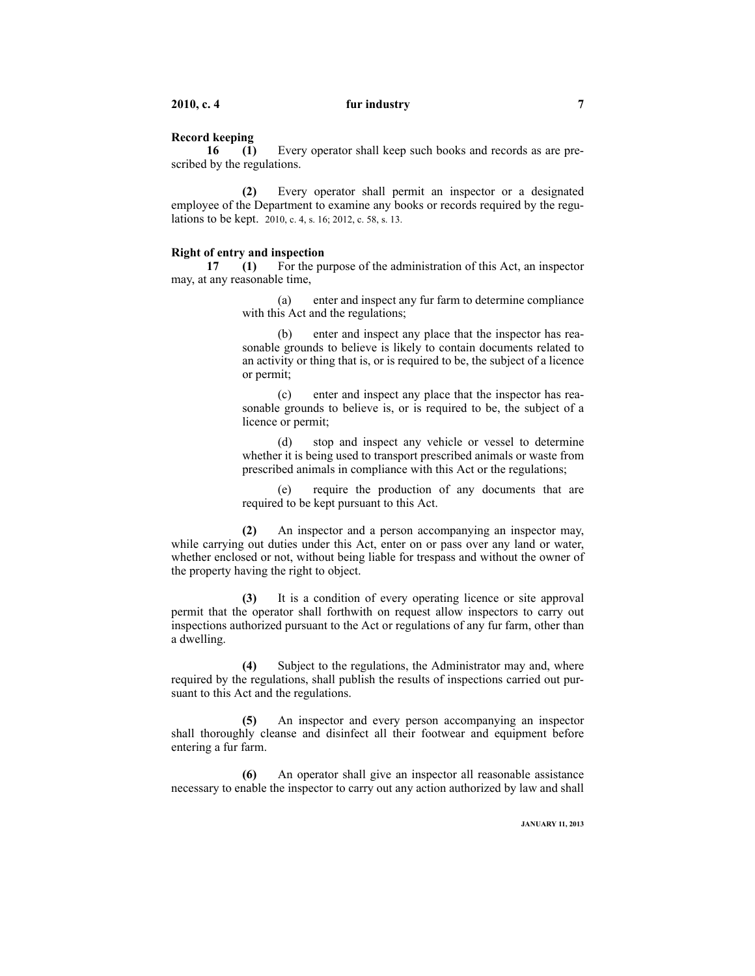#### **Record keeping**

**16 (1)** Every operator shall keep such books and records as are prescribed by the regulations.

**(2)** Every operator shall permit an inspector or a designated employee of the Department to examine any books or records required by the regulations to be kept. 2010, c. 4, s. 16; 2012, c. 58, s. 13.

#### **Right of entry and inspection**

**17 (1)** For the purpose of the administration of this Act, an inspector may, at any reasonable time,

> (a) enter and inspect any fur farm to determine compliance with this Act and the regulations;

> (b) enter and inspect any place that the inspector has reasonable grounds to believe is likely to contain documents related to an activity or thing that is, or is required to be, the subject of a licence or permit;

> (c) enter and inspect any place that the inspector has reasonable grounds to believe is, or is required to be, the subject of a licence or permit;

> (d) stop and inspect any vehicle or vessel to determine whether it is being used to transport prescribed animals or waste from prescribed animals in compliance with this Act or the regulations;

> (e) require the production of any documents that are required to be kept pursuant to this Act.

**(2)** An inspector and a person accompanying an inspector may, while carrying out duties under this Act, enter on or pass over any land or water, whether enclosed or not, without being liable for trespass and without the owner of the property having the right to object.

**(3)** It is a condition of every operating licence or site approval permit that the operator shall forthwith on request allow inspectors to carry out inspections authorized pursuant to the Act or regulations of any fur farm, other than a dwelling.

**(4)** Subject to the regulations, the Administrator may and, where required by the regulations, shall publish the results of inspections carried out pursuant to this Act and the regulations.

**(5)** An inspector and every person accompanying an inspector shall thoroughly cleanse and disinfect all their footwear and equipment before entering a fur farm.

**(6)** An operator shall give an inspector all reasonable assistance necessary to enable the inspector to carry out any action authorized by law and shall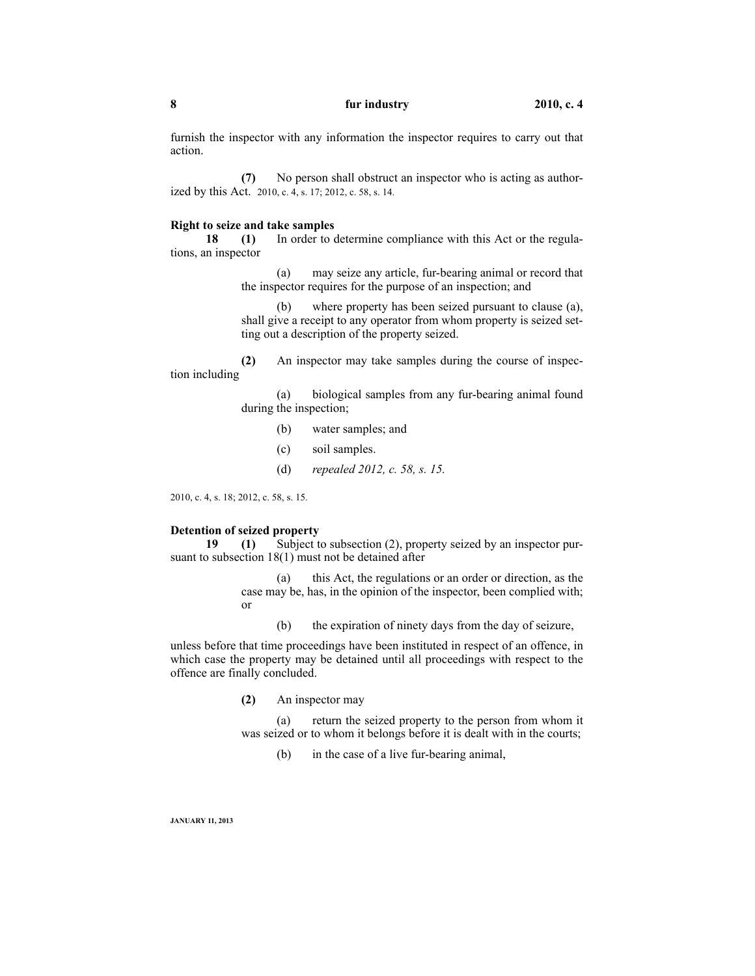furnish the inspector with any information the inspector requires to carry out that action.

**(7)** No person shall obstruct an inspector who is acting as authorized by this Act. 2010, c. 4, s. 17; 2012, c. 58, s. 14.

#### **Right to seize and take samples**

**18 (1)** In order to determine compliance with this Act or the regulations, an inspector

> (a) may seize any article, fur-bearing animal or record that the inspector requires for the purpose of an inspection; and

> (b) where property has been seized pursuant to clause (a), shall give a receipt to any operator from whom property is seized setting out a description of the property seized.

**(2)** An inspector may take samples during the course of inspection including

> (a) biological samples from any fur-bearing animal found during the inspection;

- (b) water samples; and
- (c) soil samples.
- (d) *repealed 2012, c. 58, s. 15.*

2010, c. 4, s. 18; 2012, c. 58, s. 15.

#### **Detention of seized property**

**19 (1)** Subject to subsection (2), property seized by an inspector pursuant to subsection 18(1) must not be detained after

> (a) this Act, the regulations or an order or direction, as the case may be, has, in the opinion of the inspector, been complied with; or

(b) the expiration of ninety days from the day of seizure,

unless before that time proceedings have been instituted in respect of an offence, in which case the property may be detained until all proceedings with respect to the offence are finally concluded.

**(2)** An inspector may

(a) return the seized property to the person from whom it was seized or to whom it belongs before it is dealt with in the courts;

(b) in the case of a live fur-bearing animal,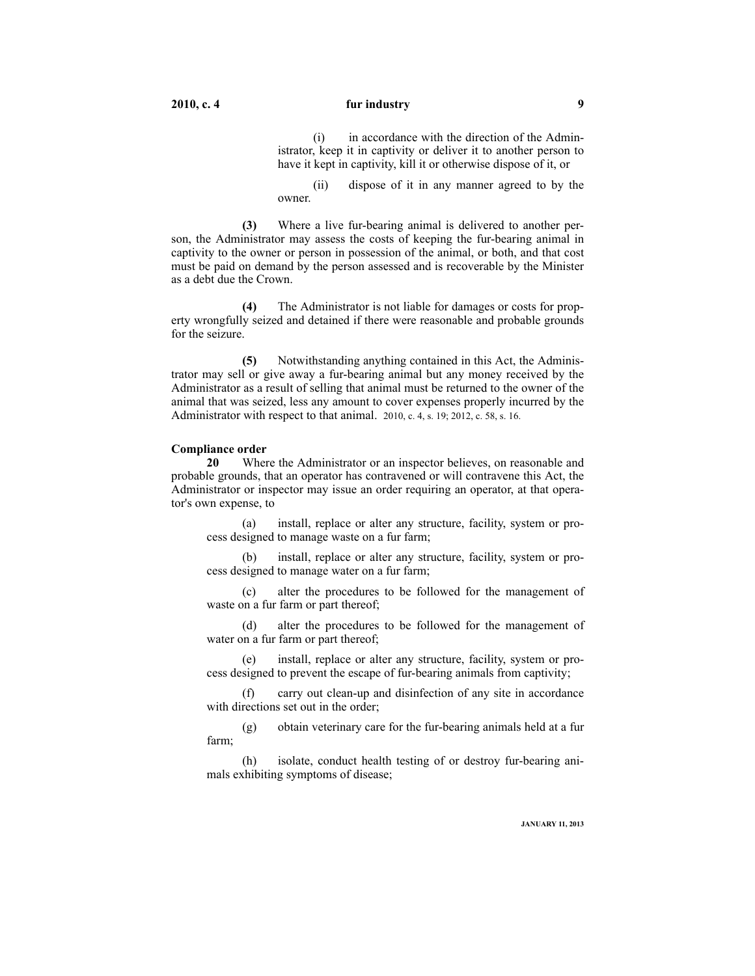(i) in accordance with the direction of the Administrator, keep it in captivity or deliver it to another person to have it kept in captivity, kill it or otherwise dispose of it, or

(ii) dispose of it in any manner agreed to by the owner.

**(3)** Where a live fur-bearing animal is delivered to another person, the Administrator may assess the costs of keeping the fur-bearing animal in captivity to the owner or person in possession of the animal, or both, and that cost must be paid on demand by the person assessed and is recoverable by the Minister as a debt due the Crown.

**(4)** The Administrator is not liable for damages or costs for property wrongfully seized and detained if there were reasonable and probable grounds for the seizure.

**(5)** Notwithstanding anything contained in this Act, the Administrator may sell or give away a fur-bearing animal but any money received by the Administrator as a result of selling that animal must be returned to the owner of the animal that was seized, less any amount to cover expenses properly incurred by the Administrator with respect to that animal. 2010, c. 4, s. 19; 2012, c. 58, s. 16.

#### **Compliance order**

**20** Where the Administrator or an inspector believes, on reasonable and probable grounds, that an operator has contravened or will contravene this Act, the Administrator or inspector may issue an order requiring an operator, at that operator's own expense, to

(a) install, replace or alter any structure, facility, system or process designed to manage waste on a fur farm;

(b) install, replace or alter any structure, facility, system or process designed to manage water on a fur farm;

alter the procedures to be followed for the management of waste on a fur farm or part thereof;

(d) alter the procedures to be followed for the management of water on a fur farm or part thereof;

(e) install, replace or alter any structure, facility, system or process designed to prevent the escape of fur-bearing animals from captivity;

(f) carry out clean-up and disinfection of any site in accordance with directions set out in the order;

(g) obtain veterinary care for the fur-bearing animals held at a fur farm;

(h) isolate, conduct health testing of or destroy fur-bearing animals exhibiting symptoms of disease;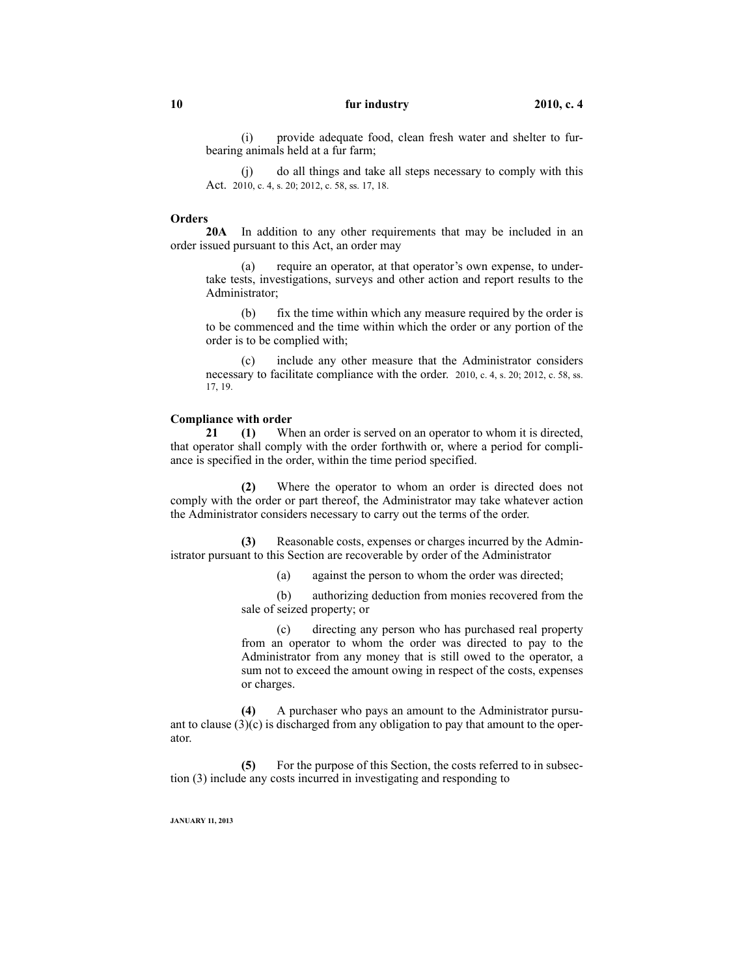(i) provide adequate food, clean fresh water and shelter to furbearing animals held at a fur farm;

(j) do all things and take all steps necessary to comply with this Act. 2010, c. 4, s. 20; 2012, c. 58, ss. 17, 18.

#### **Orders**

**20A** In addition to any other requirements that may be included in an order issued pursuant to this Act, an order may

(a) require an operator, at that operator's own expense, to undertake tests, investigations, surveys and other action and report results to the Administrator;

(b) fix the time within which any measure required by the order is to be commenced and the time within which the order or any portion of the order is to be complied with;

(c) include any other measure that the Administrator considers necessary to facilitate compliance with the order. 2010, c. 4, s. 20; 2012, c. 58, ss. 17, 19.

#### **Compliance with order**

**21 (1)** When an order is served on an operator to whom it is directed, that operator shall comply with the order forthwith or, where a period for compliance is specified in the order, within the time period specified.

**(2)** Where the operator to whom an order is directed does not comply with the order or part thereof, the Administrator may take whatever action the Administrator considers necessary to carry out the terms of the order.

Reasonable costs, expenses or charges incurred by the Administrator pursuant to this Section are recoverable by order of the Administrator

(a) against the person to whom the order was directed;

(b) authorizing deduction from monies recovered from the sale of seized property; or

(c) directing any person who has purchased real property from an operator to whom the order was directed to pay to the Administrator from any money that is still owed to the operator, a sum not to exceed the amount owing in respect of the costs, expenses or charges.

**(4)** A purchaser who pays an amount to the Administrator pursuant to clause  $(3)(c)$  is discharged from any obligation to pay that amount to the operator.

**(5)** For the purpose of this Section, the costs referred to in subsection (3) include any costs incurred in investigating and responding to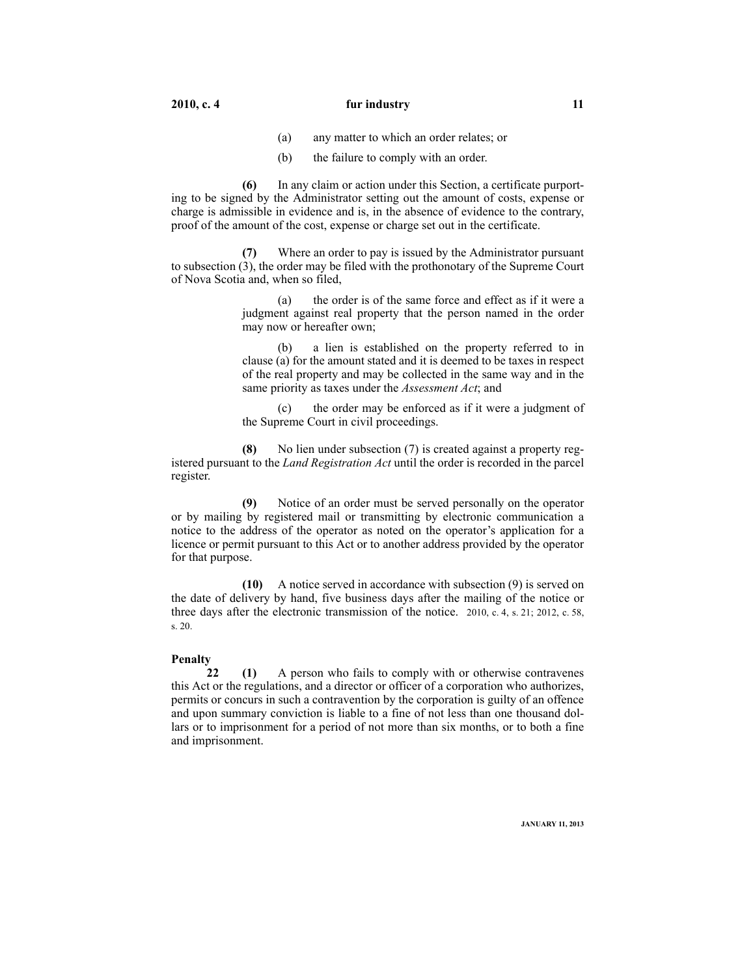- (a) any matter to which an order relates; or
- (b) the failure to comply with an order.

**(6)** In any claim or action under this Section, a certificate purporting to be signed by the Administrator setting out the amount of costs, expense or charge is admissible in evidence and is, in the absence of evidence to the contrary, proof of the amount of the cost, expense or charge set out in the certificate.

**(7)** Where an order to pay is issued by the Administrator pursuant to subsection (3), the order may be filed with the prothonotary of the Supreme Court of Nova Scotia and, when so filed,

> (a) the order is of the same force and effect as if it were a judgment against real property that the person named in the order may now or hereafter own;

> a lien is established on the property referred to in clause (a) for the amount stated and it is deemed to be taxes in respect of the real property and may be collected in the same way and in the same priority as taxes under the *Assessment Act*; and

> (c) the order may be enforced as if it were a judgment of the Supreme Court in civil proceedings.

**(8)** No lien under subsection (7) is created against a property registered pursuant to the *Land Registration Act* until the order is recorded in the parcel register.

**(9)** Notice of an order must be served personally on the operator or by mailing by registered mail or transmitting by electronic communication a notice to the address of the operator as noted on the operator's application for a licence or permit pursuant to this Act or to another address provided by the operator for that purpose.

**(10)** A notice served in accordance with subsection (9) is served on the date of delivery by hand, five business days after the mailing of the notice or three days after the electronic transmission of the notice. 2010, c. 4, s. 21; 2012, c. 58, s. 20.

#### **Penalty**

**22 (1)** A person who fails to comply with or otherwise contravenes this Act or the regulations, and a director or officer of a corporation who authorizes, permits or concurs in such a contravention by the corporation is guilty of an offence and upon summary conviction is liable to a fine of not less than one thousand dollars or to imprisonment for a period of not more than six months, or to both a fine and imprisonment.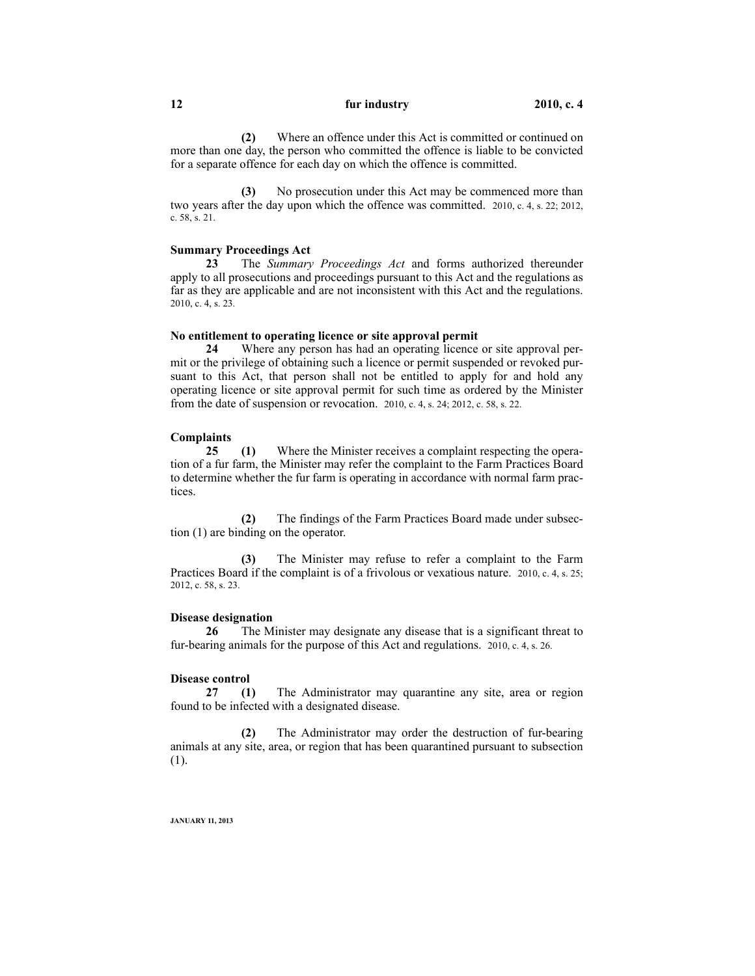**(2)** Where an offence under this Act is committed or continued on more than one day, the person who committed the offence is liable to be convicted for a separate offence for each day on which the offence is committed.

**(3)** No prosecution under this Act may be commenced more than two years after the day upon which the offence was committed. 2010, c. 4, s. 22; 2012, c. 58, s. 21.

#### **Summary Proceedings Act**

**23** The *Summary Proceedings Act* and forms authorized thereunder apply to all prosecutions and proceedings pursuant to this Act and the regulations as far as they are applicable and are not inconsistent with this Act and the regulations. 2010, c. 4, s. 23.

#### **No entitlement to operating licence or site approval permit**

**24** Where any person has had an operating licence or site approval permit or the privilege of obtaining such a licence or permit suspended or revoked pursuant to this Act, that person shall not be entitled to apply for and hold any operating licence or site approval permit for such time as ordered by the Minister from the date of suspension or revocation. 2010, c. 4, s. 24; 2012, c. 58, s. 22.

#### **Complaints**

**25 (1)** Where the Minister receives a complaint respecting the operation of a fur farm, the Minister may refer the complaint to the Farm Practices Board to determine whether the fur farm is operating in accordance with normal farm practices.

**(2)** The findings of the Farm Practices Board made under subsection (1) are binding on the operator.

**(3)** The Minister may refuse to refer a complaint to the Farm Practices Board if the complaint is of a frivolous or vexatious nature. 2010, c. 4, s. 25; 2012, c. 58, s. 23.

#### **Disease designation**

**26** The Minister may designate any disease that is a significant threat to fur-bearing animals for the purpose of this Act and regulations. 2010, c. 4, s. 26.

#### **Disease control**

**27 (1)** The Administrator may quarantine any site, area or region found to be infected with a designated disease.

**(2)** The Administrator may order the destruction of fur-bearing animals at any site, area, or region that has been quarantined pursuant to subsection (1).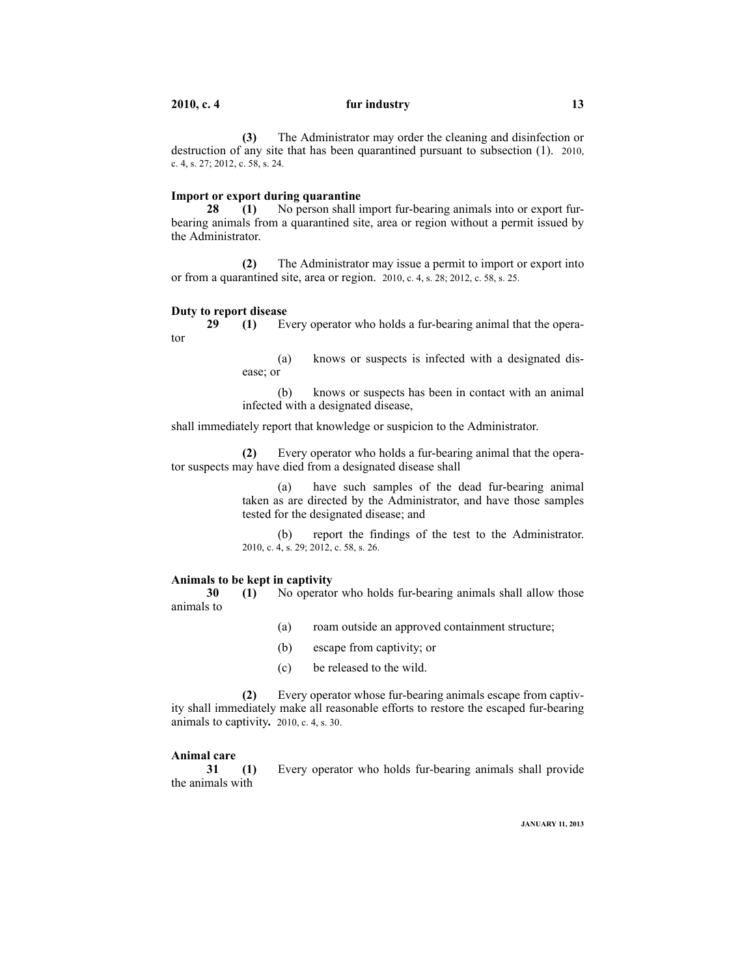**(3)** The Administrator may order the cleaning and disinfection or destruction of any site that has been quarantined pursuant to subsection (1). 2010, c. 4, s. 27; 2012, c. 58, s. 24.

#### **Import or export during quarantine**

**28 (1)** No person shall import fur-bearing animals into or export furbearing animals from a quarantined site, area or region without a permit issued by the Administrator.

**(2)** The Administrator may issue a permit to import or export into or from a quarantined site, area or region. 2010, c. 4, s. 28; 2012, c. 58, s. 25.

#### **Duty to report disease**

**29 (1)** Every operator who holds a fur-bearing animal that the operator

> (a) knows or suspects is infected with a designated disease; or

> (b) knows or suspects has been in contact with an animal infected with a designated disease,

shall immediately report that knowledge or suspicion to the Administrator.

**(2)** Every operator who holds a fur-bearing animal that the operator suspects may have died from a designated disease shall

> (a) have such samples of the dead fur-bearing animal taken as are directed by the Administrator, and have those samples tested for the designated disease; and

> (b) report the findings of the test to the Administrator. 2010, c. 4, s. 29; 2012, c. 58, s. 26.

#### **Animals to be kept in captivity**

**30 (1)** No operator who holds fur-bearing animals shall allow those animals to

- (a) roam outside an approved containment structure;
- (b) escape from captivity; or
- (c) be released to the wild.

**(2)** Every operator whose fur-bearing animals escape from captivity shall immediately make all reasonable efforts to restore the escaped fur-bearing animals to captivity**.** 2010, c. 4, s. 30.

#### **Animal care**

**31 (1)** Every operator who holds fur-bearing animals shall provide the animals with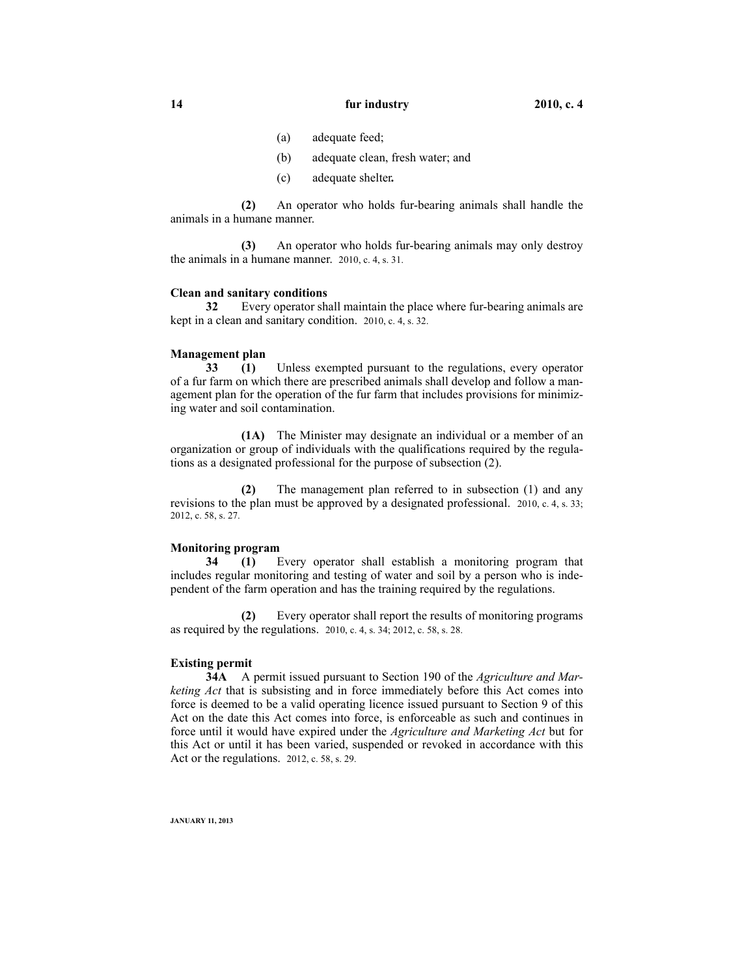- (a) adequate feed;
- (b) adequate clean, fresh water; and
- (c) adequate shelter**.**

**(2)** An operator who holds fur-bearing animals shall handle the animals in a humane manner.

**(3)** An operator who holds fur-bearing animals may only destroy the animals in a humane manner. 2010, c. 4, s. 31.

#### **Clean and sanitary conditions**

**32** Every operator shall maintain the place where fur-bearing animals are kept in a clean and sanitary condition. 2010, c. 4, s. 32.

#### **Management plan**

**33 (1)** Unless exempted pursuant to the regulations, every operator of a fur farm on which there are prescribed animals shall develop and follow a management plan for the operation of the fur farm that includes provisions for minimizing water and soil contamination.

**(1A)** The Minister may designate an individual or a member of an organization or group of individuals with the qualifications required by the regulations as a designated professional for the purpose of subsection (2).

**(2)** The management plan referred to in subsection (1) and any revisions to the plan must be approved by a designated professional. 2010, c. 4, s. 33; 2012, c. 58, s. 27.

#### **Monitoring program**

**34 (1)** Every operator shall establish a monitoring program that includes regular monitoring and testing of water and soil by a person who is independent of the farm operation and has the training required by the regulations.

**(2)** Every operator shall report the results of monitoring programs as required by the regulations. 2010, c. 4, s. 34; 2012, c. 58, s. 28.

#### **Existing permit**

**34A** A permit issued pursuant to Section 190 of the *Agriculture and Marketing Act* that is subsisting and in force immediately before this Act comes into force is deemed to be a valid operating licence issued pursuant to Section 9 of this Act on the date this Act comes into force, is enforceable as such and continues in force until it would have expired under the *Agriculture and Marketing Act* but for this Act or until it has been varied, suspended or revoked in accordance with this Act or the regulations. 2012, c. 58, s. 29.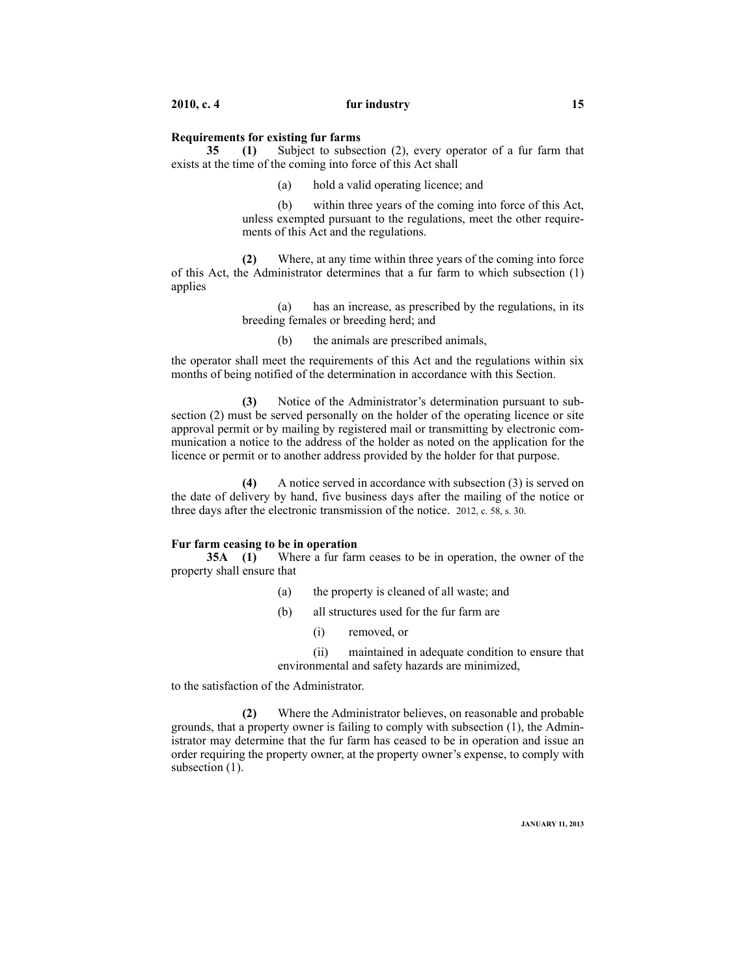#### **Requirements for existing fur farms**

**35 (1)** Subject to subsection (2), every operator of a fur farm that exists at the time of the coming into force of this Act shall

(a) hold a valid operating licence; and

(b) within three years of the coming into force of this Act, unless exempted pursuant to the regulations, meet the other requirements of this Act and the regulations.

**(2)** Where, at any time within three years of the coming into force of this Act, the Administrator determines that a fur farm to which subsection (1) applies

> (a) has an increase, as prescribed by the regulations, in its breeding females or breeding herd; and

(b) the animals are prescribed animals,

the operator shall meet the requirements of this Act and the regulations within six months of being notified of the determination in accordance with this Section.

**(3)** Notice of the Administrator's determination pursuant to subsection (2) must be served personally on the holder of the operating licence or site approval permit or by mailing by registered mail or transmitting by electronic communication a notice to the address of the holder as noted on the application for the licence or permit or to another address provided by the holder for that purpose.

**(4)** A notice served in accordance with subsection (3) is served on the date of delivery by hand, five business days after the mailing of the notice or three days after the electronic transmission of the notice. 2012, c. 58, s. 30.

#### **Fur farm ceasing to be in operation**

**35A (1)** Where a fur farm ceases to be in operation, the owner of the property shall ensure that

- (a) the property is cleaned of all waste; and
- (b) all structures used for the fur farm are
	- (i) removed, or

(ii) maintained in adequate condition to ensure that environmental and safety hazards are minimized,

to the satisfaction of the Administrator.

**(2)** Where the Administrator believes, on reasonable and probable grounds, that a property owner is failing to comply with subsection (1), the Administrator may determine that the fur farm has ceased to be in operation and issue an order requiring the property owner, at the property owner's expense, to comply with subsection  $(1)$ .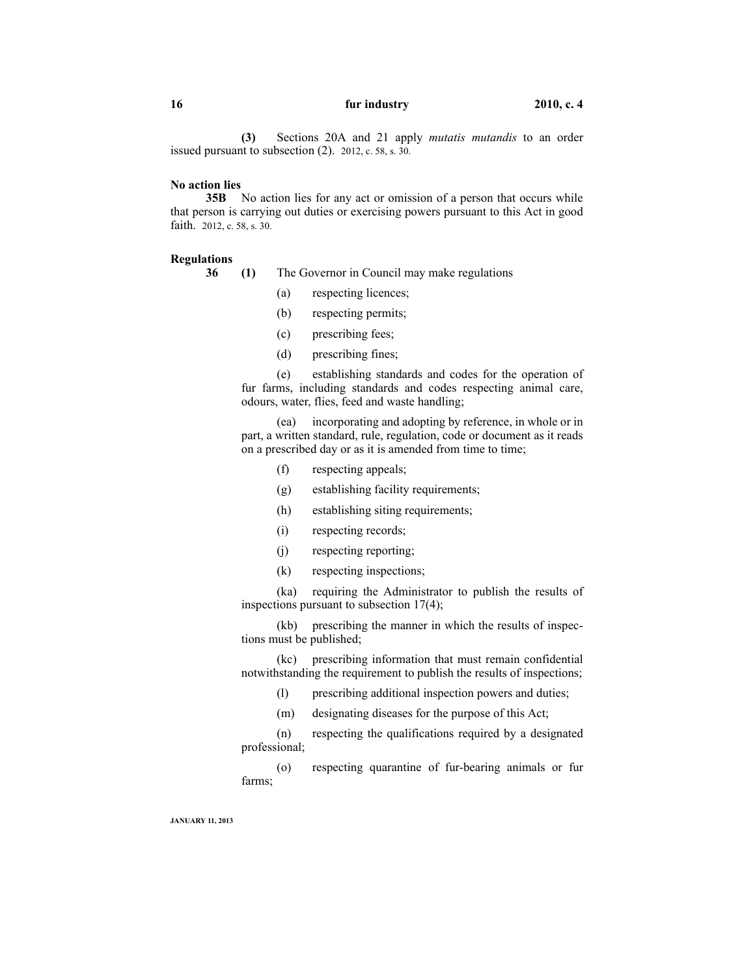**(3)** Sections 20A and 21 apply *mutatis mutandis* to an order issued pursuant to subsection (2). 2012, c. 58, s. 30.

#### **No action lies**

**35B** No action lies for any act or omission of a person that occurs while that person is carrying out duties or exercising powers pursuant to this Act in good faith. 2012, c. 58, s. 30.

#### **Regulations**

**36 (1)** The Governor in Council may make regulations

- (a) respecting licences;
- (b) respecting permits;
- (c) prescribing fees;
- (d) prescribing fines;

(e) establishing standards and codes for the operation of fur farms, including standards and codes respecting animal care, odours, water, flies, feed and waste handling;

(ea) incorporating and adopting by reference, in whole or in part, a written standard, rule, regulation, code or document as it reads on a prescribed day or as it is amended from time to time;

- (f) respecting appeals;
- (g) establishing facility requirements;
- (h) establishing siting requirements;
- (i) respecting records;
- (j) respecting reporting;
- (k) respecting inspections;

(ka) requiring the Administrator to publish the results of inspections pursuant to subsection 17(4);

(kb) prescribing the manner in which the results of inspections must be published;

(kc) prescribing information that must remain confidential notwithstanding the requirement to publish the results of inspections;

- (l) prescribing additional inspection powers and duties;
- (m) designating diseases for the purpose of this Act;

(n) respecting the qualifications required by a designated professional;

(o) respecting quarantine of fur-bearing animals or fur farms;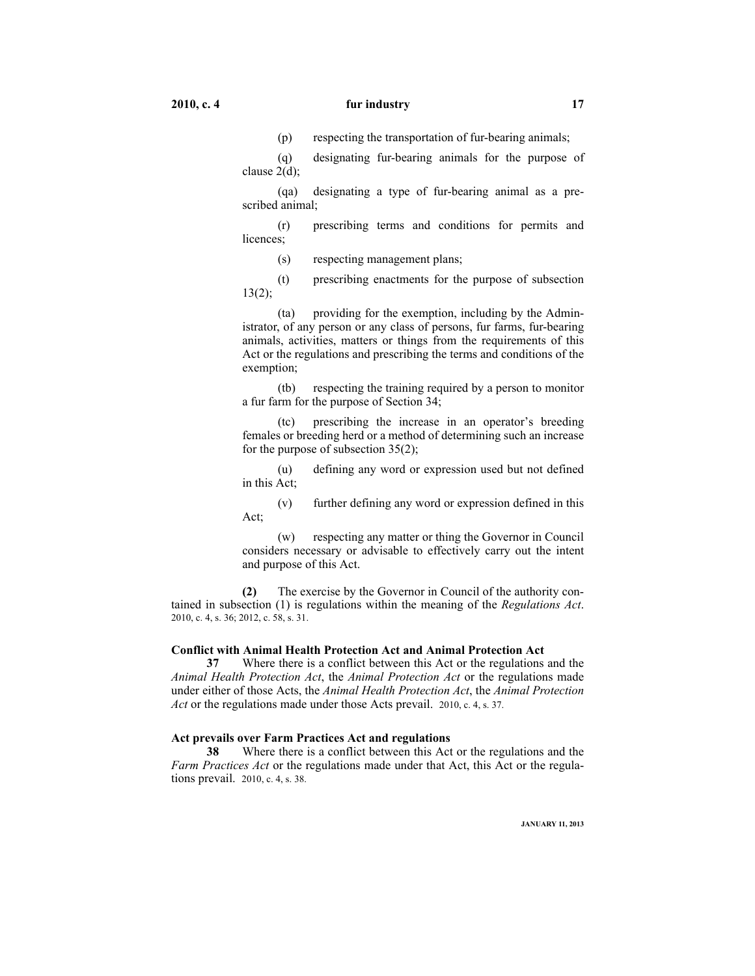(p) respecting the transportation of fur-bearing animals;

(q) designating fur-bearing animals for the purpose of clause 2(d);

(qa) designating a type of fur-bearing animal as a prescribed animal;

(r) prescribing terms and conditions for permits and licences;

(s) respecting management plans;

(t) prescribing enactments for the purpose of subsection 13(2);

(ta) providing for the exemption, including by the Administrator, of any person or any class of persons, fur farms, fur-bearing animals, activities, matters or things from the requirements of this Act or the regulations and prescribing the terms and conditions of the exemption;

(tb) respecting the training required by a person to monitor a fur farm for the purpose of Section 34;

(tc) prescribing the increase in an operator's breeding females or breeding herd or a method of determining such an increase for the purpose of subsection 35(2);

(u) defining any word or expression used but not defined in this Act;

(v) further defining any word or expression defined in this Act;

(w) respecting any matter or thing the Governor in Council considers necessary or advisable to effectively carry out the intent and purpose of this Act.

**(2)** The exercise by the Governor in Council of the authority contained in subsection (1) is regulations within the meaning of the *Regulations Act*. 2010, c. 4, s. 36; 2012, c. 58, s. 31.

#### **Conflict with Animal Health Protection Act and Animal Protection Act**

**37** Where there is a conflict between this Act or the regulations and the *Animal Health Protection Act*, the *Animal Protection Act* or the regulations made under either of those Acts, the *Animal Health Protection Act*, the *Animal Protection Act* or the regulations made under those Acts prevail. 2010, c. 4, s. 37.

#### **Act prevails over Farm Practices Act and regulations**

**38** Where there is a conflict between this Act or the regulations and the *Farm Practices Act* or the regulations made under that Act, this Act or the regulations prevail. 2010, c. 4, s. 38.